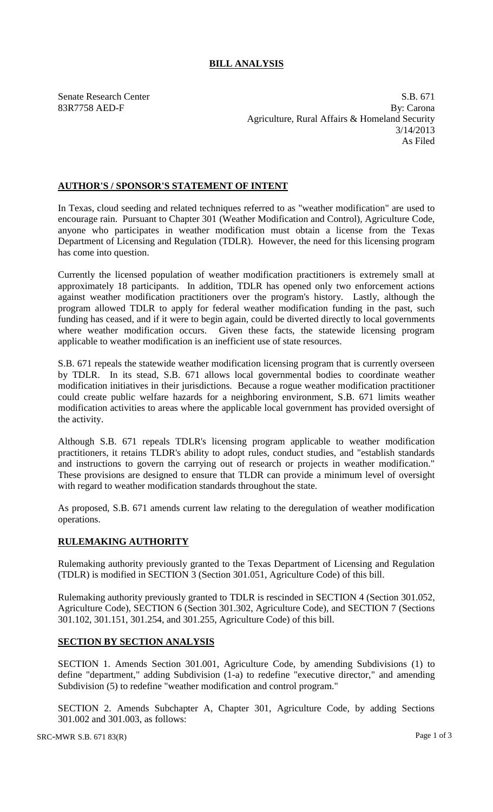# **BILL ANALYSIS**

Senate Research Center S.B. 671 83R7758 AED-F By: Carona Agriculture, Rural Affairs & Homeland Security 3/14/2013 As Filed

## **AUTHOR'S / SPONSOR'S STATEMENT OF INTENT**

In Texas, cloud seeding and related techniques referred to as "weather modification" are used to encourage rain. Pursuant to Chapter 301 (Weather Modification and Control), Agriculture Code, anyone who participates in weather modification must obtain a license from the Texas Department of Licensing and Regulation (TDLR). However, the need for this licensing program has come into question.

Currently the licensed population of weather modification practitioners is extremely small at approximately 18 participants. In addition, TDLR has opened only two enforcement actions against weather modification practitioners over the program's history. Lastly, although the program allowed TDLR to apply for federal weather modification funding in the past, such funding has ceased, and if it were to begin again, could be diverted directly to local governments where weather modification occurs. Given these facts, the statewide licensing program applicable to weather modification is an inefficient use of state resources.

S.B. 671 repeals the statewide weather modification licensing program that is currently overseen by TDLR. In its stead, S.B. 671 allows local governmental bodies to coordinate weather modification initiatives in their jurisdictions. Because a rogue weather modification practitioner could create public welfare hazards for a neighboring environment, S.B. 671 limits weather modification activities to areas where the applicable local government has provided oversight of the activity.

Although S.B. 671 repeals TDLR's licensing program applicable to weather modification practitioners, it retains TLDR's ability to adopt rules, conduct studies, and "establish standards and instructions to govern the carrying out of research or projects in weather modification." These provisions are designed to ensure that TLDR can provide a minimum level of oversight with regard to weather modification standards throughout the state.

As proposed, S.B. 671 amends current law relating to the deregulation of weather modification operations.

### **RULEMAKING AUTHORITY**

Rulemaking authority previously granted to the Texas Department of Licensing and Regulation (TDLR) is modified in SECTION 3 (Section 301.051, Agriculture Code) of this bill.

Rulemaking authority previously granted to TDLR is rescinded in SECTION 4 (Section 301.052, Agriculture Code), SECTION 6 (Section 301.302, Agriculture Code), and SECTION 7 (Sections 301.102, 301.151, 301.254, and 301.255, Agriculture Code) of this bill.

### **SECTION BY SECTION ANALYSIS**

SECTION 1. Amends Section 301.001, Agriculture Code, by amending Subdivisions (1) to define "department," adding Subdivision (1-a) to redefine "executive director," and amending Subdivision (5) to redefine "weather modification and control program."

SECTION 2. Amends Subchapter A, Chapter 301, Agriculture Code, by adding Sections 301.002 and 301.003, as follows: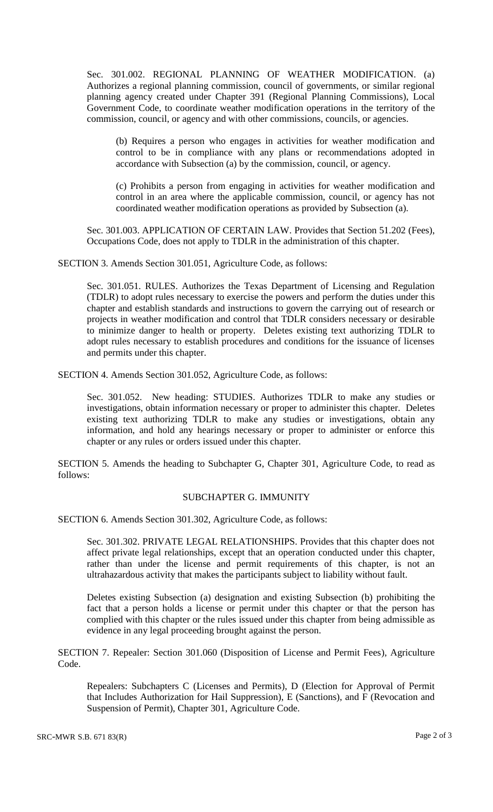Sec. 301.002. REGIONAL PLANNING OF WEATHER MODIFICATION. (a) Authorizes a regional planning commission, council of governments, or similar regional planning agency created under Chapter 391 (Regional Planning Commissions), Local Government Code, to coordinate weather modification operations in the territory of the commission, council, or agency and with other commissions, councils, or agencies.

(b) Requires a person who engages in activities for weather modification and control to be in compliance with any plans or recommendations adopted in accordance with Subsection (a) by the commission, council, or agency.

(c) Prohibits a person from engaging in activities for weather modification and control in an area where the applicable commission, council, or agency has not coordinated weather modification operations as provided by Subsection (a).

Sec. 301.003. APPLICATION OF CERTAIN LAW. Provides that Section 51.202 (Fees), Occupations Code, does not apply to TDLR in the administration of this chapter.

SECTION 3. Amends Section 301.051, Agriculture Code, as follows:

Sec. 301.051. RULES. Authorizes the Texas Department of Licensing and Regulation (TDLR) to adopt rules necessary to exercise the powers and perform the duties under this chapter and establish standards and instructions to govern the carrying out of research or projects in weather modification and control that TDLR considers necessary or desirable to minimize danger to health or property. Deletes existing text authorizing TDLR to adopt rules necessary to establish procedures and conditions for the issuance of licenses and permits under this chapter.

SECTION 4. Amends Section 301.052, Agriculture Code, as follows:

Sec. 301.052. New heading: STUDIES. Authorizes TDLR to make any studies or investigations, obtain information necessary or proper to administer this chapter. Deletes existing text authorizing TDLR to make any studies or investigations, obtain any information, and hold any hearings necessary or proper to administer or enforce this chapter or any rules or orders issued under this chapter.

SECTION 5. Amends the heading to Subchapter G, Chapter 301, Agriculture Code, to read as follows:

#### SUBCHAPTER G. IMMUNITY

SECTION 6. Amends Section 301.302, Agriculture Code, as follows:

Sec. 301.302. PRIVATE LEGAL RELATIONSHIPS. Provides that this chapter does not affect private legal relationships, except that an operation conducted under this chapter, rather than under the license and permit requirements of this chapter, is not an ultrahazardous activity that makes the participants subject to liability without fault.

Deletes existing Subsection (a) designation and existing Subsection (b) prohibiting the fact that a person holds a license or permit under this chapter or that the person has complied with this chapter or the rules issued under this chapter from being admissible as evidence in any legal proceeding brought against the person.

SECTION 7. Repealer: Section 301.060 (Disposition of License and Permit Fees), Agriculture Code.

Repealers: Subchapters C (Licenses and Permits), D (Election for Approval of Permit that Includes Authorization for Hail Suppression), E (Sanctions), and F (Revocation and Suspension of Permit), Chapter 301, Agriculture Code.